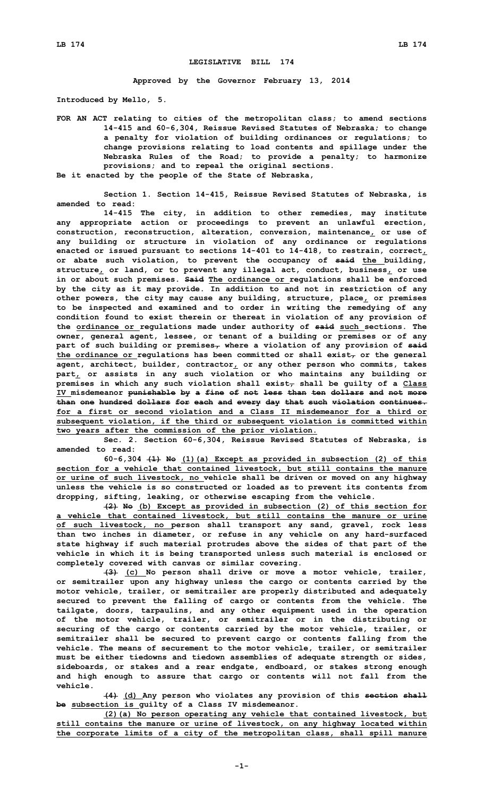## **LEGISLATIVE BILL 174**

**Approved by the Governor February 13, 2014**

**Introduced by Mello, 5.**

**FOR AN ACT relating to cities of the metropolitan class; to amend sections 14-415 and 60-6,304, Reissue Revised Statutes of Nebraska; to change <sup>a</sup> penalty for violation of building ordinances or regulations; to change provisions relating to load contents and spillage under the Nebraska Rules of the Road; to provide <sup>a</sup> penalty; to harmonize provisions; and to repeal the original sections. Be it enacted by the people of the State of Nebraska,**

**Section 1. Section 14-415, Reissue Revised Statutes of Nebraska, is amended to read:**

**14-415 The city, in addition to other remedies, may institute any appropriate action or proceedings to prevent an unlawful erection, construction, reconstruction, alteration, conversion, maintenance, or use of any building or structure in violation of any ordinance or regulations enacted or issued pursuant to sections 14-401 to 14-418, to restrain, correct, or abate such violation, to prevent the occupancy of said the building, structure, or land, or to prevent any illegal act, conduct, business, or use in or about such premises. Said The ordinance or regulations shall be enforced by the city as it may provide. In addition to and not in restriction of any other powers, the city may cause any building, structure, place, or premises to be inspected and examined and to order in writing the remedying of any condition found to exist therein or thereat in violation of any provision of the ordinance or regulations made under authority of said such sections. The owner, general agent, lessee, or tenant of <sup>a</sup> building or premises or of any part of such building or premises, where <sup>a</sup> violation of any provision of said the ordinance or regulations has been committed or shall exist, or the general agent, architect, builder, contractor, or any other person who commits, takes part, or assists in any such violation or who maintains any building or premises in which any such violation shall exist, shall be guilty of <sup>a</sup> Class IV misdemeanor punishable by <sup>a</sup> fine of not less than ten dollars and not more than one hundred dollars for each and every day that such violation continues. for a first or second violation and a Class II misdemeanor for a third or subsequent violation, if the third or subsequent violation is committed within two years after the commission of the prior violation.**

**Sec. 2. Section 60-6,304, Reissue Revised Statutes of Nebraska, is amended to read:**

**60-6,304 (1) No (1)(a) Except as provided in subsection (2) of this section for <sup>a</sup> vehicle that contained livestock, but still contains the manure or urine of such livestock, no vehicle shall be driven or moved on any highway unless the vehicle is so constructed or loaded as to prevent its contents from dropping, sifting, leaking, or otherwise escaping from the vehicle.**

**(2) No (b) Except as provided in subsection (2) of this section for <sup>a</sup> vehicle that contained livestock, but still contains the manure or urine of such livestock, no person shall transport any sand, gravel, rock less than two inches in diameter, or refuse in any vehicle on any hard-surfaced state highway if such material protrudes above the sides of that part of the vehicle in which it is being transported unless such material is enclosed or completely covered with canvas or similar covering.**

**(3) (c) No person shall drive or move <sup>a</sup> motor vehicle, trailer, or semitrailer upon any highway unless the cargo or contents carried by the motor vehicle, trailer, or semitrailer are properly distributed and adequately secured to prevent the falling of cargo or contents from the vehicle. The tailgate, doors, tarpaulins, and any other equipment used in the operation of the motor vehicle, trailer, or semitrailer or in the distributing or securing of the cargo or contents carried by the motor vehicle, trailer, or semitrailer shall be secured to prevent cargo or contents falling from the vehicle. The means of securement to the motor vehicle, trailer, or semitrailer must be either tiedowns and tiedown assemblies of adequate strength or sides, sideboards, or stakes and <sup>a</sup> rear endgate, endboard, or stakes strong enough and high enough to assure that cargo or contents will not fall from the vehicle.**

**(4) (d) Any person who violates any provision of this section shall be subsection is guilty of <sup>a</sup> Class IV misdemeanor.**

**(2)(a) No person operating any vehicle that contained livestock, but still contains the manure or urine of livestock, on any highway located within the corporate limits of <sup>a</sup> city of the metropolitan class, shall spill manure**